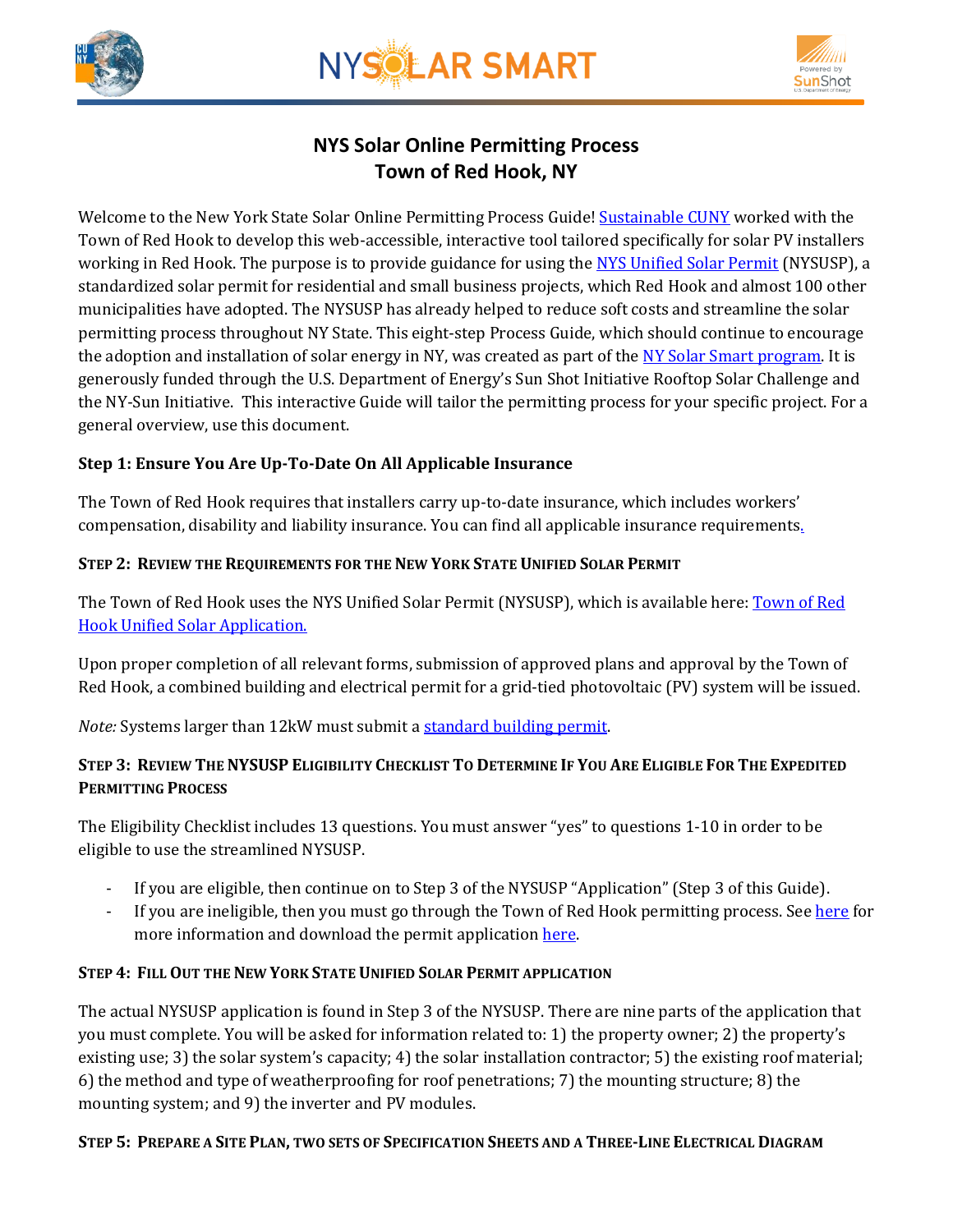





# **NYS Solar Online Permitting Process Town of Red Hook, NY**

Welcome to the New York State Solar Online Permitting Process Guide! [Sustainable CUNY](http://www.cuny.edu/about/resources/sustainability.html) worked with the Town of Red Hook to develop this web-accessible, interactive tool tailored specifically for solar PV installers working in Red Hook. The purpose is to provide guidance for using the [NYS Unified Solar Permit](http://www.redhook.org/PDFs/PrintableForms/BandZ/NYS-unified-solar-permit_edited_for_Red_Hook_2.pdf) (NYSUSP), a standardized solar permit for residential and small business projects, which Red Hook and almost 100 other municipalities have adopted. The NYSUSP has already helped to reduce soft costs and streamline the solar permitting process throughout NY State. This eight-step Process Guide, which should continue to encourage the adoption and installation of solar energy in NY, was created as part of the NY [Solar Smart program.](http://www.cuny.edu/about/resources/sustainability/nyssolar.html) It is generously funded through the U.S. Department of Energy's Sun Shot Initiative Rooftop Solar Challenge and the NY-Sun Initiative. This interactive Guide will tailor the permitting process for your specific project. For a general overview, use this document.

## **Step 1: Ensure You Are Up-To-Date On All Applicable Insurance**

The Town of Red Hook requires that installers carry up-to-date insurance, which includes workers' compensation, disability and liability insurance. You can find all applicable insurance requirements.

#### **STEP 2: REVIEW THE REQUIREMENTS FOR THE NEW YORK STATE UNIFIED SOLAR PERMIT**

The Town [of Red](http://www.redhook.org/PDFs/PrintableForms/BandZ/NYS-unified-solar-permit_edited_for_Red_Hook_2.pdf) Hook uses the NYS Unified Solar Permit (NYSUSP), which is available here: Town of Red Hook [Unified Solar Application.](http://www.redhook.org/PDFs/PrintableForms/BandZ/NYS-unified-solar-permit_edited_for_Red_Hook_2.pdf)

Upon proper completion of all relevant forms, submission of approved plans and approval by the Town of Red Hook, a combined building and electrical permit for a grid-tied photovoltaic (PV) system will be issued.

*Note: Systems larger than 12kW must submit a standard building permit.* 

## STEP 3: REVIEW THE NYSUSP ELIGIBILITY CHECKLIST TO DETERMINE IF YOU ARE ELIGIBLE FOR THE EXPEDITED **PERMITTING PROCESS**

The Eligibility Checklist includes 13 questions. You must answer "yes" to questions 1-10 in order to be eligible to use the streamlined NYSUSP.

- If you are eligible, then continue on to Step 3 of the NYSUSP "Application" (Step 3 of this Guide).
- If you are ineligible, then you must go through the Town of Red Hook permitting process. See [here](http://www.redhook.org/TownDepartments/BldgZoning.html) for more information and download the permit application [here.](http://www.redhook.org/PDFs/PrintableForms/BandZ/BuildingPermitApplicationUPDATED1-16-08.pdf)

#### **STEP 4: FILL OUT THE NEW YORK STATE UNIFIED SOLAR PERMIT APPLICATION**

The actual NYSUSP application is found in Step 3 of the NYSUSP. There are nine parts of the application that you must complete. You will be asked for information related to: 1) the property owner; 2) the property's existing use; 3) the solar system's capacity; 4) the solar installation contractor; 5) the existing roof material; 6) the method and type of weatherproofing for roof penetrations; 7) the mounting structure; 8) the mounting system; and 9) the inverter and PV modules.

#### STEP 5: PREPARE A SITE PLAN, TWO SETS OF SPECIFICATION SHEETS AND A THREE-LINE ELECTRICAL DIAGRAM